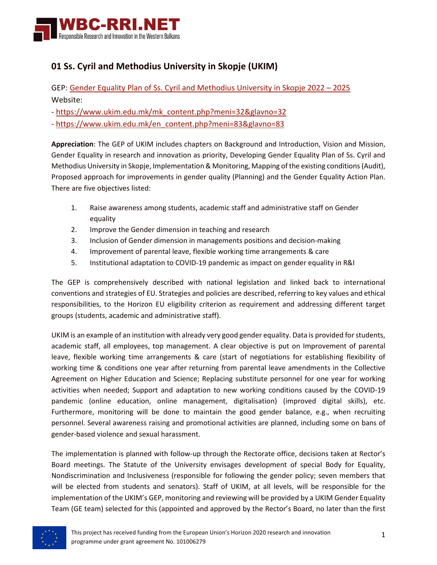

## **01 Ss. Cyril and Methodius University in Skopje (UKIM)**

GEP: [Gender Equality Plan of Ss. Cyril and Methodius University in Skopje 2022 –](https://wbc-rri.net/wp-content/uploads/2022/06/NM-01-A-EN_UKIM_GEP_2022-2025-EN.pdf) 2025 Website:

- [https://www.ukim.edu.mk/mk\\_content.php?meni=32&glavno=32](https://www.ukim.edu.mk/mk_content.php?meni=32&glavno=32)

- [https://www.ukim.edu.mk/en\\_content.php?meni=83&glavno=83](https://www.ukim.edu.mk/en_content.php?meni=83&glavno=83)

**Appreciation**: The GEP of UKIM includes chapters on Background and Introduction, Vision and Mission, Gender Equality in research and innovation as priority, Developing Gender Equality Plan of Ss. Cyril and Methodius University in Skopje, Implementation & Monitoring, Mapping of the existing conditions (Audit), Proposed approach for improvements in gender quality (Planning) and the Gender Equality Action Plan. There are five objectives listed:

- 1. Raise awareness among students, academic staff and administrative staff on Gender equality
- 2. Improve the Gender dimension in teaching and research
- 3. Inclusion of Gender dimension in managements positions and decision-making
- 4. Improvement of parental leave, flexible working time arrangements & care
- 5. Institutional adaptation to COVID-19 pandemic as impact on gender equality in R&I

The GEP is comprehensively described with national legislation and linked back to international conventions and strategies of EU. Strategies and policies are described, referring to key values and ethical responsibilities, to the Horizon EU eligibility criterion as requirement and addressing different target groups (students, academic and administrative staff).

UKIM is an example of an institution with already very good gender equality. Data is provided for students, academic staff, all employees, top management. A clear objective is put on Improvement of parental leave, flexible working time arrangements & care (start of negotiations for establishing flexibility of working time & conditions one year after returning from parental leave amendments in the Collective Agreement on Higher Education and Science; Replacing substitute personnel for one year for working activities when needed; Support and adaptation to new working conditions caused by the COVID-19 pandemic (online education, online management, digitalisation) (improved digital skills), etc. Furthermore, monitoring will be done to maintain the good gender balance, e.g., when recruiting personnel. Several awareness raising and promotional activities are planned, including some on bans of gender-based violence and sexual harassment.

The implementation is planned with follow-up through the Rectorate office, decisions taken at Rector's Board meetings. The Statute of the University envisages development of special Body for Equality, Nondiscrimination and Inclusiveness (responsible for following the gender policy; seven members that will be elected from students and senators). Staff of UKIM, at all levels, will be responsible for the implementation of the UKIM's GEP, monitoring and reviewing will be provided by a UKIM Gender Equality Team (GE team) selected for this (appointed and approved by the Rector's Board, no later than the first